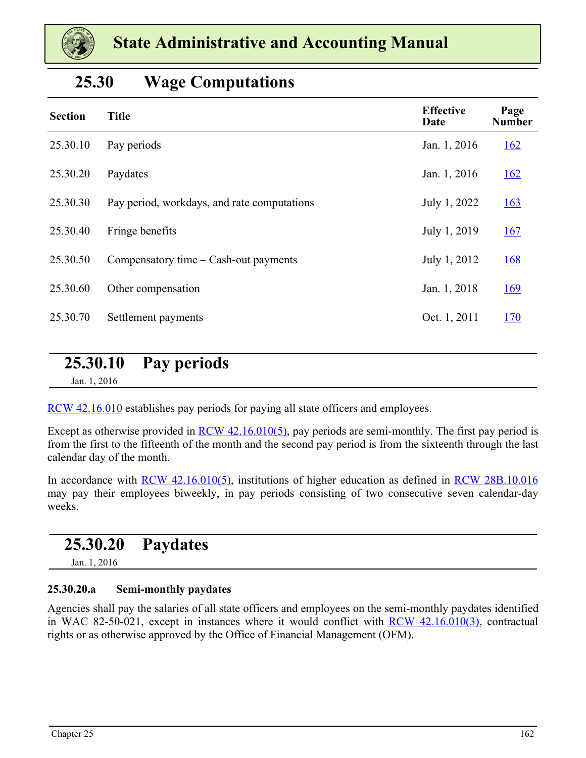<span id="page-0-0"></span>

### **25.30 Wage Computations**

| <b>Section</b> | <b>Title</b>                                | <b>Effective</b><br>Date | Page<br><b>Number</b> |
|----------------|---------------------------------------------|--------------------------|-----------------------|
| 25.30.10       | Pay periods                                 | Jan. 1, 2016             | <u>162</u>            |
| 25.30.20       | Paydates                                    | Jan. 1, 2016             | <u>162</u>            |
| 25.30.30       | Pay period, workdays, and rate computations | July 1, 2022             | <u>163</u>            |
| 25.30.40       | Fringe benefits                             | July 1, 2019             | 167                   |
| 25.30.50       | Compensatory time $-$ Cash-out payments     | July 1, 2012             | <u>168</u>            |
| 25.30.60       | Other compensation                          | Jan. 1, 2018             | <u>169</u>            |
| 25.30.70       | Settlement payments                         | Oct. 1, 2011             | <u>170</u>            |
|                |                                             |                          |                       |

# **25.30.10 Pay periods**

Jan. 1, 2016

[RCW 42.16.010](https://apps.leg.wa.gov/Rcw/default.aspx?cite=42.16.010) establishes pay periods for paying all state officers and employees.

Except as otherwise provided in <u>RCW 42.16.010(5)</u>, pay periods are semi-monthly. The first pay period is from the first to the fifteenth of the month and the second pay period is from the sixteenth through the last calendar day of the month.

In accordance with [RCW 42.16.010\(5\)](https://apps.leg.wa.gov/Rcw/default.aspx?cite=42.16.010), institutions of higher education as defined in [RCW 28B.10.016](https://apps.leg.wa.gov/rcw/default.aspx?cite=28B.10.016) may pay their employees biweekly, in pay periods consisting of two consecutive seven calendar-day weeks.

### **25.30.20 Paydates**

Jan. 1, 2016

#### **25.30.20.a Semi-monthly paydates**

Agencies shall pay the salaries of all state officers and employees on the semi-monthly paydates identified in WAC 82-50-021, except in instances where it would conflict with [RCW 42.16.010\(3\)](https://apps.leg.wa.gov/Rcw/default.aspx?cite=42.16.010), contractual rights or as otherwise approved by the Office of Financial Management (OFM).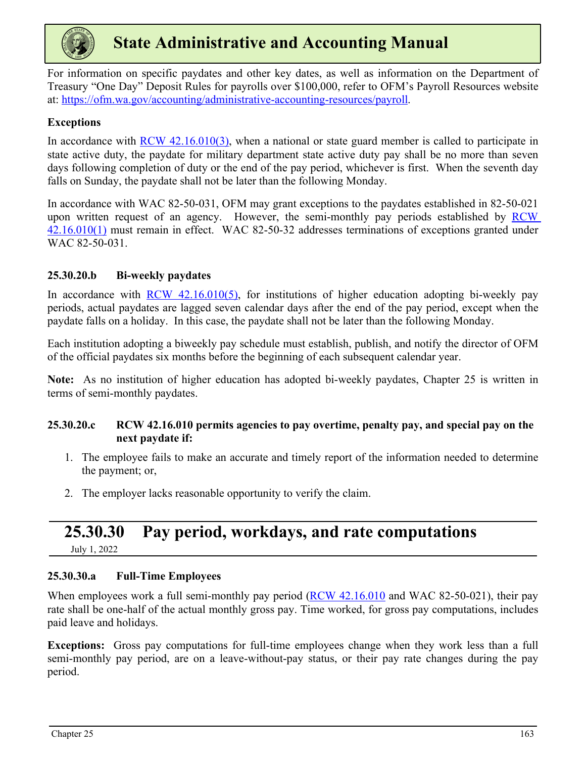<span id="page-1-0"></span>

For information on specific paydates and other key dates, as well as information on the Department of Treasury "One Day" Deposit Rules for payrolls over \$100,000, refer to OFM's Payroll Resources website at:<https://ofm.wa.gov/accounting/administrative-accounting-resources/payroll>.

#### **Exceptions**

In accordance with [RCW 42.16.010\(3\)](https://apps.leg.wa.gov/Rcw/default.aspx?cite=42.16.010), when a national or state guard member is called to participate in state active duty, the paydate for military department state active duty pay shall be no more than seven days following completion of duty or the end of the pay period, whichever is first. When the seventh day falls on Sunday, the paydate shall not be later than the following Monday.

In accordance with WAC 82-50-031, OFM may grant exceptions to the paydates established in 82-50-021 upon written request of an agency. However, the semi-monthly pay periods established by [RCW](https://apps.leg.wa.gov/Rcw/default.aspx?cite=42.16.010)  [42.16.010\(1\)](https://apps.leg.wa.gov/Rcw/default.aspx?cite=42.16.010) must remain in effect. WAC 82-50-32 addresses terminations of exceptions granted under WAC 82-50-031.

#### **25.30.20.b Bi-weekly paydates**

In accordance with RCW  $42.16.010(5)$ , for institutions of higher education adopting bi-weekly pay periods, actual paydates are lagged seven calendar days after the end of the pay period, except when the paydate falls on a holiday. In this case, the paydate shall not be later than the following Monday.

Each institution adopting a biweekly pay schedule must establish, publish, and notify the director of OFM of the official paydates six months before the beginning of each subsequent calendar year.

**Note:** As no institution of higher education has adopted bi-weekly paydates, Chapter 25 is written in terms of semi-monthly paydates.

#### **25.30.20.c RCW 42.16.010 permits agencies to pay overtime, penalty pay, and special pay on the next paydate if:**

- 1. The employee fails to make an accurate and timely report of the information needed to determine the payment; or,
- 2. The employer lacks reasonable opportunity to verify the claim.

# **25.30.30 Pay period, workdays, and rate computations**

July 1, 2022

#### **25.30.30.a Full-Time Employees**

When employees work a full semi-monthly pay period ([RCW 42.16.010](https://apps.leg.wa.gov/Rcw/default.aspx?cite=42.16.010) and WAC 82-50-021), their pay rate shall be one-half of the actual monthly gross pay. Time worked, for gross pay computations, includes paid leave and holidays.

**Exceptions:** Gross pay computations for full-time employees change when they work less than a full semi-monthly pay period, are on a leave-without-pay status, or their pay rate changes during the pay period.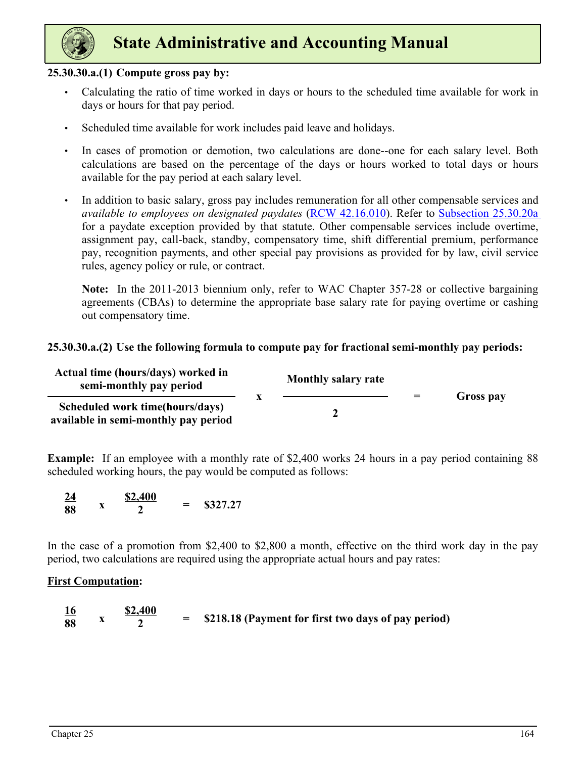

#### **25.30.30.a.(1) Compute gross pay by:**

- Calculating the ratio of time worked in days or hours to the scheduled time available for work in days or hours for that pay period.
- Scheduled time available for work includes paid leave and holidays.
- In cases of promotion or demotion, two calculations are done--one for each salary level. Both calculations are based on the percentage of the days or hours worked to total days or hours available for the pay period at each salary level.
- In addition to basic salary, gross pay includes remuneration for all other compensable services and *available to employees on designated paydates* [\(RCW 42.16.010](https://apps.leg.wa.gov/Rcw/default.aspx?cite=42.16.010)). Refer to [Subsection 25.30.20a](#page-0-0)  for a paydate exception provided by that statute. Other compensable services include overtime, assignment pay, call-back, standby, compensatory time, shift differential premium, performance pay, recognition payments, and other special pay provisions as provided for by law, civil service rules, agency policy or rule, or contract.

**Note:** In the 2011-2013 biennium only, refer to WAC Chapter 357-28 or collective bargaining agreements (CBAs) to determine the appropriate base salary rate for paying overtime or cashing out compensatory time.

#### **25.30.30.a.(2) Use the following formula to compute pay for fractional semi-monthly pay periods:**

| Actual time (hours/days) worked in<br>semi-monthly pay period           | <b>Monthly salary rate</b> | $=$ |           |
|-------------------------------------------------------------------------|----------------------------|-----|-----------|
| Scheduled work time(hours/days)<br>available in semi-monthly pay period |                            |     | Gross pay |

**Example:** If an employee with a monthly rate of \$2,400 works 24 hours in a pay period containing 88 scheduled working hours, the pay would be computed as follows:



In the case of a promotion from \$2,400 to \$2,800 a month, effective on the third work day in the pay period, two calculations are required using the appropriate actual hours and pay rates:

#### **First Computation:**

| <u>16</u> | \$2,400 |                                                       |
|-----------|---------|-------------------------------------------------------|
| 88        |         | = \$218.18 (Payment for first two days of pay period) |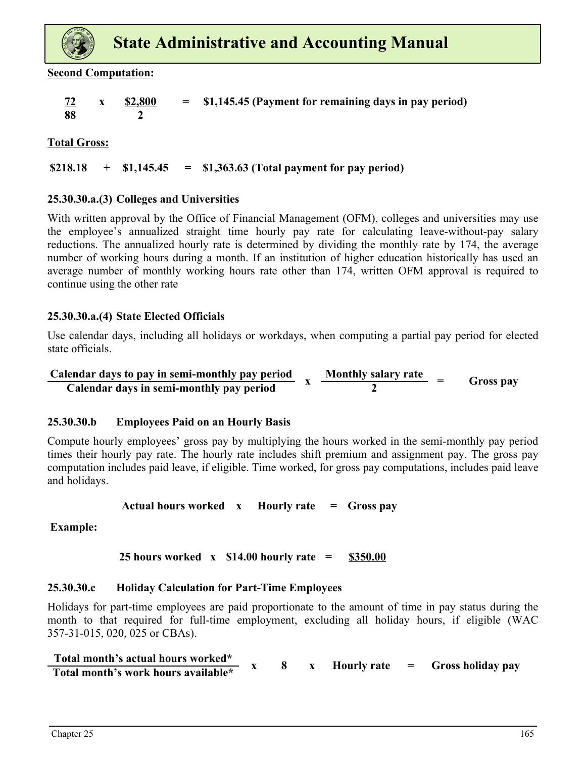

**Second Computation:**

| <u>72</u> | $x = $2,800$ | $=$ \$1,145.45 (Payment for remaining days in pay period) |
|-----------|--------------|-----------------------------------------------------------|
| - 88      |              |                                                           |

**Total Gross:**

#### **\$218.18 + \$1,145.45 = \$1,363.63 (Total payment for pay period)**

#### **25.30.30.a.(3) Colleges and Universities**

With written approval by the Office of Financial Management (OFM), colleges and universities may use the employee's annualized straight time hourly pay rate for calculating leave-without-pay salary reductions. The annualized hourly rate is determined by dividing the monthly rate by 174, the average number of working hours during a month. If an institution of higher education historically has used an average number of monthly working hours rate other than 174, written OFM approval is required to continue using the other rate

#### **25.30.30.a.(4) State Elected Officials**

Use calendar days, including all holidays or workdays, when computing a partial pay period for elected state officials.

**Calendar days to pay in semi-monthly pay period x Monthly salary rate Calendar days to pay in semi-monthly pay period**  $\bar{x}$   $\frac{M \sinh(y) \sinh(y) + \sinh(y)}{2} = G \cos p \bar{a}$ 

#### **25.30.30.b Employees Paid on an Hourly Basis**

Compute hourly employees' gross pay by multiplying the hours worked in the semi-monthly pay period times their hourly pay rate. The hourly rate includes shift premium and assignment pay. The gross pay computation includes paid leave, if eligible. Time worked, for gross pay computations, includes paid leave and holidays.

**Actual hours worked x Hourly rate = Gross pay**

 **Example:**

#### **25 hours worked x \$14.00 hourly rate = \$350.00**

#### **25.30.30.c Holiday Calculation for Part-Time Employees**

Holidays for part-time employees are paid proportionate to the amount of time in pay status during the month to that required for full-time employment, excluding all holiday hours, if eligible (WAC 357-31-015, 020, 025 or CBAs).

| Total month's actual hours worked*  |  |  |  |                                                        |
|-------------------------------------|--|--|--|--------------------------------------------------------|
| Total month's work hours available* |  |  |  | $\frac{1}{2}$ Hourly rate $\qquad$ = Gross holiday pay |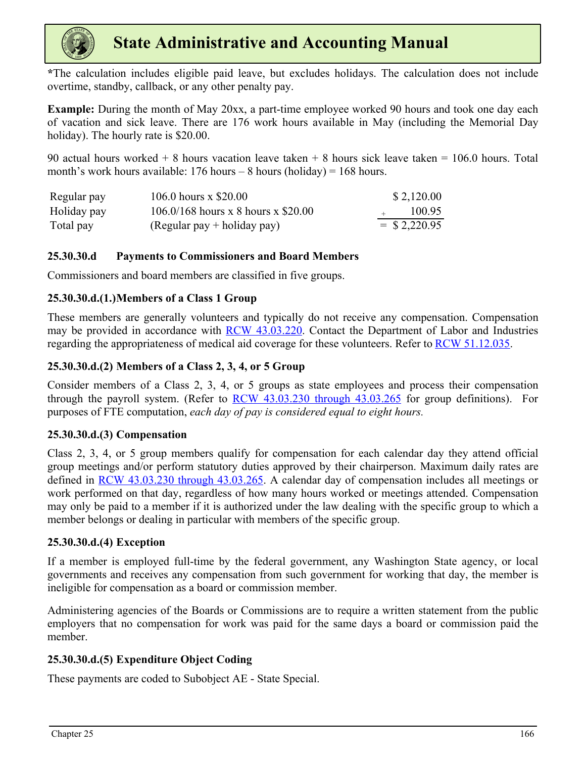

**\***The calculation includes eligible paid leave, but excludes holidays. The calculation does not include overtime, standby, callback, or any other penalty pay.

**Example:** During the month of May 20xx, a part-time employee worked 90 hours and took one day each of vacation and sick leave. There are 176 work hours available in May (including the Memorial Day holiday). The hourly rate is \$20.00.

90 actual hours worked + 8 hours vacation leave taken + 8 hours sick leave taken = 106.0 hours. Total month's work hours available:  $176$  hours – 8 hours (holiday) =  $168$  hours.

| Regular pay | 106.0 hours $x$ \$20.00               | \$2,120.00      |
|-------------|---------------------------------------|-----------------|
| Holiday pay | $106.0/168$ hours x 8 hours x \$20.00 | 100.95          |
| Total pay   | $(Regular pay + holiday pay)$         | $=$ \$ 2,220.95 |

#### **25.30.30.d Payments to Commissioners and Board Members**

Commissioners and board members are classified in five groups.

#### **25.30.30.d.(1.)Members of a Class 1 Group**

These members are generally volunteers and typically do not receive any compensation. Compensation may be provided in accordance with [RCW 43.03.220](https://app.leg.wa.gov/rcw/default.aspx?cite=43.03.220). Contact the Department of Labor and Industries regarding the appropriateness of medical aid coverage for these volunteers. Refer to [RCW 51.12.035](https://app.leg.wa.gov/rcw/default.aspx?cite=51.12.035).

#### **25.30.30.d.(2) Members of a Class 2, 3, 4, or 5 Group**

Consider members of a Class 2, 3, 4, or 5 groups as state employees and process their compensation through the payroll system. (Refer to  $RCW$  43.03.230 through 43.03.265 for group definitions). For purposes of FTE computation, *each day of pay is considered equal to eight hours.*

#### **25.30.30.d.(3) Compensation**

Class 2, 3, 4, or 5 group members qualify for compensation for each calendar day they attend official group meetings and/or perform statutory duties approved by their chairperson. Maximum daily rates are defined in [RCW 43.03.230 through 43.03.265](https://app.leg.wa.gov/rcw/default.aspx?cite=43.03). A calendar day of compensation includes all meetings or work performed on that day, regardless of how many hours worked or meetings attended. Compensation may only be paid to a member if it is authorized under the law dealing with the specific group to which a member belongs or dealing in particular with members of the specific group.

#### **25.30.30.d.(4) Exception**

If a member is employed full-time by the federal government, any Washington State agency, or local governments and receives any compensation from such government for working that day, the member is ineligible for compensation as a board or commission member.

Administering agencies of the Boards or Commissions are to require a written statement from the public employers that no compensation for work was paid for the same days a board or commission paid the member.

#### **25.30.30.d.(5) Expenditure Object Coding**

These payments are coded to Subobject AE - State Special.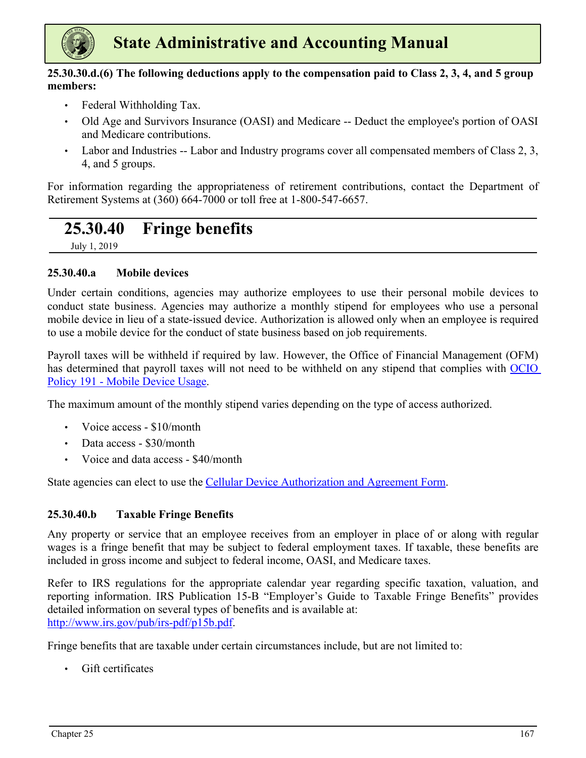<span id="page-5-0"></span>

#### **25.30.30.d.(6) The following deductions apply to the compensation paid to Class 2, 3, 4, and 5 group members:**

- Federal Withholding Tax.
- Old Age and Survivors Insurance (OASI) and Medicare -- Deduct the employee's portion of OASI and Medicare contributions.
- Labor and Industries -- Labor and Industry programs cover all compensated members of Class 2, 3, 4, and 5 groups.

For information regarding the appropriateness of retirement contributions, contact the Department of Retirement Systems at (360) 664-7000 or toll free at 1-800-547-6657.

# **25.30.40 Fringe benefits**

July 1, 2019

#### **25.30.40.a Mobile devices**

Under certain conditions, agencies may authorize employees to use their personal mobile devices to conduct state business. Agencies may authorize a monthly stipend for employees who use a personal mobile device in lieu of a state-issued device. Authorization is allowed only when an employee is required to use a mobile device for the conduct of state business based on job requirements.

Payroll taxes will be withheld if required by law. However, the Office of Financial Management (OFM) has determined that payroll taxes will not need to be withheld on any stipend that complies with [OCIO](https://ocio.wa.gov/policy/mobile-device-usage)  [Policy 191 - Mobile Device Usage.](https://ocio.wa.gov/policy/mobile-device-usage)

The maximum amount of the monthly stipend varies depending on the type of access authorized.

- Voice access \$10/month
- Data access \$30/month
- Voice and data access \$40/month

State agencies can elect to use the [Cellular Device Authorization and Agreement Form.](https://ocio.wa.gov/sites/default/files/public/policies/191.10%20201905v2.docx?c19f9j8)

#### **25.30.40.b Taxable Fringe Benefits**

Any property or service that an employee receives from an employer in place of or along with regular wages is a fringe benefit that may be subject to federal employment taxes. If taxable, these benefits are included in gross income and subject to federal income, OASI, and Medicare taxes.

Refer to IRS regulations for the appropriate calendar year regarding specific taxation, valuation, and reporting information. IRS Publication 15-B "Employer's Guide to Taxable Fringe Benefits" provides detailed information on several types of benefits and is available at: [http://www.irs.gov/pub/irs-pdf/p15b.pdf](https://www.irs.gov/pub/irs-pdf/p15b.pdf).

Fringe benefits that are taxable under certain circumstances include, but are not limited to:

• Gift certificates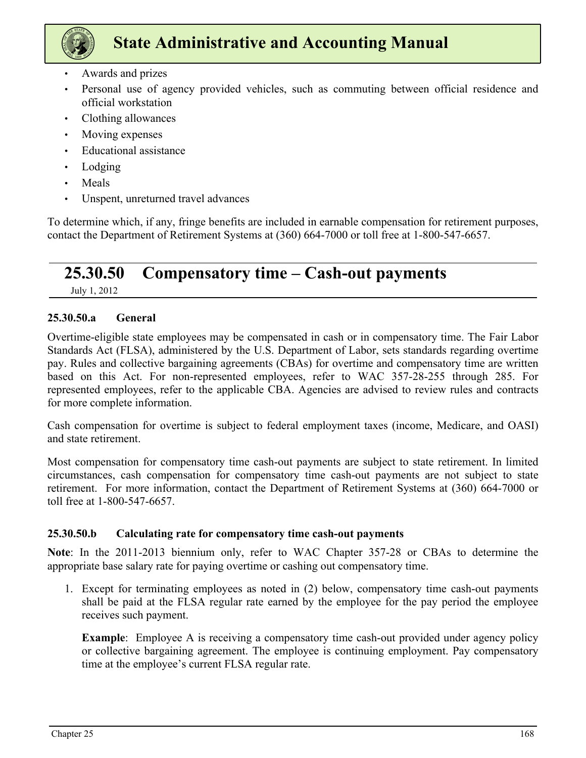<span id="page-6-0"></span>

- Awards and prizes
- Personal use of agency provided vehicles, such as commuting between official residence and official workstation
- Clothing allowances
- Moving expenses
- Educational assistance
- Lodging
- Meals
- Unspent, unreturned travel advances

To determine which, if any, fringe benefits are included in earnable compensation for retirement purposes, contact the Department of Retirement Systems at (360) 664-7000 or toll free at 1-800-547-6657.

## **25.30.50 Compensatory time – Cash-out payments**

July 1, 2012

#### **25.30.50.a General**

Overtime-eligible state employees may be compensated in cash or in compensatory time. The Fair Labor Standards Act (FLSA), administered by the U.S. Department of Labor, sets standards regarding overtime pay. Rules and collective bargaining agreements (CBAs) for overtime and compensatory time are written based on this Act. For non-represented employees, refer to WAC 357-28-255 through 285. For represented employees, refer to the applicable CBA. Agencies are advised to review rules and contracts for more complete information.

Cash compensation for overtime is subject to federal employment taxes (income, Medicare, and OASI) and state retirement.

Most compensation for compensatory time cash-out payments are subject to state retirement. In limited circumstances, cash compensation for compensatory time cash-out payments are not subject to state retirement. For more information, contact the Department of Retirement Systems at (360) 664-7000 or toll free at 1-800-547-6657.

#### **25.30.50.b Calculating rate for compensatory time cash-out payments**

**Note**: In the 2011-2013 biennium only, refer to WAC Chapter 357-28 or CBAs to determine the appropriate base salary rate for paying overtime or cashing out compensatory time.

1. Except for terminating employees as noted in (2) below, compensatory time cash-out payments shall be paid at the FLSA regular rate earned by the employee for the pay period the employee receives such payment.

**Example**: Employee A is receiving a compensatory time cash-out provided under agency policy or collective bargaining agreement. The employee is continuing employment. Pay compensatory time at the employee's current FLSA regular rate.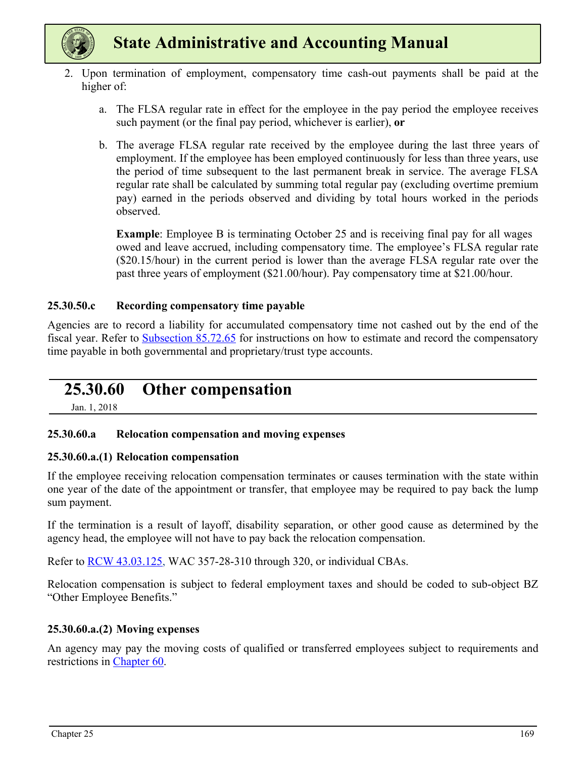<span id="page-7-0"></span>

- 2. Upon termination of employment, compensatory time cash-out payments shall be paid at the higher of:
	- a. The FLSA regular rate in effect for the employee in the pay period the employee receives such payment (or the final pay period, whichever is earlier), **or**
	- b. The average FLSA regular rate received by the employee during the last three years of employment. If the employee has been employed continuously for less than three years, use the period of time subsequent to the last permanent break in service. The average FLSA regular rate shall be calculated by summing total regular pay (excluding overtime premium pay) earned in the periods observed and dividing by total hours worked in the periods observed.

**Example**: Employee B is terminating October 25 and is receiving final pay for all wages owed and leave accrued, including compensatory time. The employee's FLSA regular rate (\$20.15/hour) in the current period is lower than the average FLSA regular rate over the past three years of employment (\$21.00/hour). Pay compensatory time at \$21.00/hour.

#### **25.30.50.c Recording compensatory time payable**

Agencies are to record a liability for accumulated compensatory time not cashed out by the end of the fiscal year. Refer to Subsection 85.72.65 for instructions on how to estimate and record the compensatory time payable in both governmental and proprietary/trust type accounts.

### **25.30.60 Other compensation**

Jan. 1, 2018

#### **25.30.60.a Relocation compensation and moving expenses**

#### **25.30.60.a.(1) Relocation compensation**

If the employee receiving relocation compensation terminates or causes termination with the state within one year of the date of the appointment or transfer, that employee may be required to pay back the lump sum payment.

If the termination is a result of layoff, disability separation, or other good cause as determined by the agency head, the employee will not have to pay back the relocation compensation.

Refer to [RCW 43.03.125,](https://app.leg.wa.gov/rcw/default.aspx?cite=43.03.125) WAC 357-28-310 through 320, or individual CBAs.

Relocation compensation is subject to federal employment taxes and should be coded to sub-object BZ "Other Employee Benefits."

#### **25.30.60.a.(2) Moving expenses**

An agency may pay the moving costs of qualified or transferred employees subject to requirements and restrictions in Chapter 60.